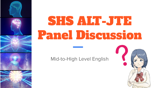

# SHS ALT-JTE Panel Discussion

Mid-to-High Level English

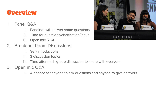#### **Overview**

- 1. Panel Q&A
	- i. Panelists will answer some questions
	- ii. Time for questions/clarification/input
	- iii. Open mic Q&A
- 2. Break-out Room Discussions
	- Self-Introductions
	- ii. 3 discussion topics
	- iii. Time after each group discussion to share with everyone
- 3. Open mic Q&A
	- i. A chance for anyone to ask questions and anyone to give answers

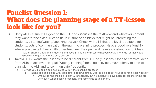## Panelist Question 1: What does the planning stage of a TT-lesson look like for you?

- Harry (ALT)- Usually T1, goes to the JTE and discusses the textbook and whatever content they want for the class. Tries to tie in culture or holidays that might be interesting for students. Listening/writing/speaking activity. Check with JTE that the level is suitable for students. Lots of communication through the planning process. Have a good relationship where you can talk freely with other teachers. Be open and have a constant flow of ideas.
	- 1/week English Department Meeting and have 5 minutes to discuss what you would like to do for that week. Good way to get around the busy excuse.
- Takaki (JTE)- Wants the lessons to be different from JTE-only lessons. Open to creative ideas from ALTs to achieve this goal. Writing/listening/speaking activities. Have plenty of time to plan with the ALT and to communicate frequently.
	- How do you like to be communicated with in the planning process?
		- Talking and explaining with each other about what they want to do, about 1 hour of so for a lesson (ideally)
			- Difficult to find the time to plan with teachers, but it is helpful to leave notes for teachers who are very busy. When passing teachers, find some time to talk briefly.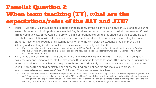### Panelist Question 2: When team teaching (TT), what are the expectations/roles of the ALT and JTE?

- Takaki- ALTs and JTEs should be role models during lessons.Having a conversion between ALTs and JTEs during lessons is important. It is important to show that English does not have to be perfect. "What does --- mean?" Just TRY to communicate. Since ALTs have grown up in a different background, they should use their strengths such as debate, presentation skills, etc. Evaluation and comments on student performance is motivating for students. Students have to take reading and listening tests for entering University, so students should improve their listening and speaking inside and outside the classroom, especially with the ALT.
	- For teachers who have the tape recorder expectation for the ALT: ALTs ask students to write letters and then they reply in English. Introducing more small talk can be a great transition to bring activities outside the classroom when the JTE might not have much class-time to allow the ALT.
- Harry- JTEs are NOT TRANSLATORS and ALTs are NOT RECORDING MACHINES. It is important to bring your own creativity and personalities into the classroom. Bring unique topics to lessons. JTEs know the curriculum and more knowledge about teaching techniques so there should definitely be communication to teach practical and useful English. JTEs should be flexible and show that English is not perfect and make a low-pressure environment where mistakes are OKAY. Fluidity and Charisma between teachers.
	- For teachers who have the tape recorder expectation for the ALT: be incremental, baby steps, where more creative power is given to the ALT. Prove competence and build trust between the ALT and JTE. ALT should show a willingness to be involved. Sometimes, the reason JTEs might have this approach is because they don't want to overwork the ALT and don't want to put too much responsibility on the ALT, but it may be a relief for a JTE to know that the ALT WANTs more responsibility. Try new things and different resources.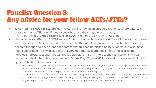## Panelist Question 3: Any advice for your fellow ALTs/JTEs?

- Takaki- LET'S ENJOY ENGLISH! Having ALTs is like having an abroad experience every day. ALTs, please talk with JTEs even if they're busy, because they may always be busy. :
	- How to utilize JTE: Model dialogue by ALT to start, then have the JTE join into the conversation.
- Harry- OPEN COMMUNICATION! You can't plan or do much unless the ALT and JTE are comfortable with their lessons. Make an effort to know each other and take an interest in each other's lives. Try to become friends and have a good rapport so that this can be picked up by students and also make them comfortable. Talk with students at every opportunity (corridors, lunch, breaks, ask about hobbies/interests/day) and they will really appreciate it. 1-on-1 interactions with students will earn respect and build the school environment. Sports Days/Bunkasai/Nomikai/etc. Involvement will build up your identity within the school.
	- How to utilize the JTE in T1 situations: when planning, instead of planning by yourself, have a mutual planning stage.(Ex: ALT does a warm up activity, JTE does next activity, ALT takes following activity, etc.) Technical points may need the help of the JTE to help explain. ALT should help more with pronunciation/cultural aspects.
	- Do what you're comfortable doing! Don't feel forced to join just because you're asked to do something. It's okay to say no if you're exhausted or at your limits. : Blindly saying "YES" to everything is going to cause burn-out, while at the same time, it is good to push yourself outside your comfort-zone and trying new things. Keep a balance in mind.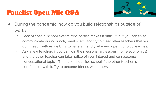## Panelist Open Mic Q&A



- During the pandemic, how do you build relationships outside of work?
	- Lack of special school events/trips/parties makes it difficult, but you can try to communicate during lunch, breaks, etc. and try to meet other teachers that you don't teach with as well. Try to have a friendly vibe and open up to colleagues.
	- Ask a few teachers if you can join their lessons (art lessons, home economics) and the other teacher can take notice of your interest and can become conversational topics. Then take it outside school if the other teacher is comfortable with it. Try to become friends with others.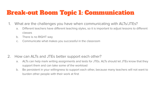#### Break-out Room Topic 1: Communication

- 1. What are the challenges you have when communicating with ALTs/JTEs?
	- a. Different teachers have different teaching styles, so it is important to adjust lessons to different classes
	- b. There is no RIGHT way
	- c. Communicate what makes you successful in the classroom

- 2. How can ALTs and JTEs better support each other?
	- a. ALTs can help mark writing assignments and tests for JTEs. ALTs should let JTEs know that they support them and can take some of the workload
	- b. Be persistent in your willingness to support each other, because many teachers will not want to burden other people with their work at first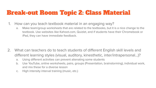#### Break-out Room Topic 2: Class Material

- 1. How can you teach textbook material in an engaging way?
	- a. Make team/group worksheets that are related to the textbooks, but it is a nice change to the textbook. Use websites like Kahoot.com, Quizlet, and if students have their Chromebook or iPad, they can have immediate feedback.

- 2. What can teachers do to teach students of different English skill levels and different learning styles (visual, auditory, kinesthetic, inter/intrapersonal...)?
	- a. Using different activities can prevent alienating some students
	- b. Use YouTube, online worksheets, pairs, groups (Presentation, brainstorming), individual work, and mix these for a diverse lesson
	- c. High intensity interval training (music, etc.)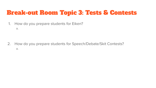#### Break-out Room Topic 3: Tests & Contests

- 1. How do you prepare students for Eiken?
	- a.

2. How do you prepare students for Speech/Debate/Skit Contests? a.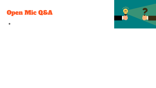### Open Mic Q&A

●

 $\mathcal{N}^{11}$  $m$